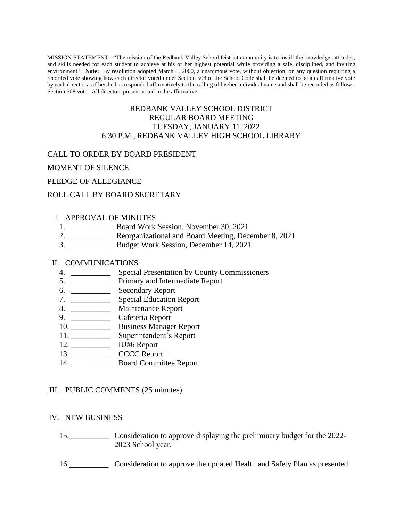MISSION STATEMENT: "The mission of the Redbank Valley School District community is to instill the knowledge, attitudes, and skills needed for each student to achieve at his or her highest potential while providing a safe, disciplined, and inviting environment." **Note:** By resolution adopted March 6, 2000, a unanimous vote, without objection, on any question requiring a recorded vote showing how each director voted under Section 508 of the School Code shall be deemed to be an affirmative vote by each director as if he/she has responded affirmatively to the calling of his/her individual name and shall be recorded as follows: Section 508 vote: All directors present voted in the affirmative.

# REDBANK VALLEY SCHOOL DISTRICT REGULAR BOARD MEETING TUESDAY, JANUARY 11, 2022 6:30 P.M., REDBANK VALLEY HIGH SCHOOL LIBRARY

### CALL TO ORDER BY BOARD PRESIDENT

### MOMENT OF SILENCE

PLEDGE OF ALLEGIANCE

### ROLL CALL BY BOARD SECRETARY

### I. APPROVAL OF MINUTES

- 1. \_\_\_\_\_\_\_\_\_\_ Board Work Session, November 30, 2021
- 2. \_\_\_\_\_\_\_\_\_\_ Reorganizational and Board Meeting, December 8, 2021
- 3. \_\_\_\_\_\_\_\_\_\_ Budget Work Session, December 14, 2021

### II. COMMUNICATIONS

- 4. \_\_\_\_\_\_\_\_\_\_ Special Presentation by County Commissioners
- 5. \_\_\_\_\_\_\_\_\_\_ Primary and Intermediate Report
- 6. \_\_\_\_\_\_\_\_\_\_ Secondary Report
- 7. \_\_\_\_\_\_\_\_\_\_ Special Education Report
- 8. \_\_\_\_\_\_\_\_\_\_\_\_\_ Maintenance Report
- 9. \_\_\_\_\_\_\_\_\_\_\_\_\_ Cafeteria Report
- 10. \_\_\_\_\_\_\_\_\_\_\_\_\_\_ Business Manager Report
- 11. \_\_\_\_\_\_\_\_\_\_ Superintendent's Report
- 12. \_\_\_\_\_\_\_\_\_\_ IU#6 Report
- 13. CCCC Report
- 14. \_\_\_\_\_\_\_\_\_\_ Board Committee Report

#### III. PUBLIC COMMENTS (25 minutes)

#### IV. NEW BUSINESS

- 15.\_\_\_\_\_\_\_\_\_\_ Consideration to approve displaying the preliminary budget for the 2022- 2023 School year.
- 16.\_\_\_\_\_\_\_\_\_\_ Consideration to approve the updated Health and Safety Plan as presented.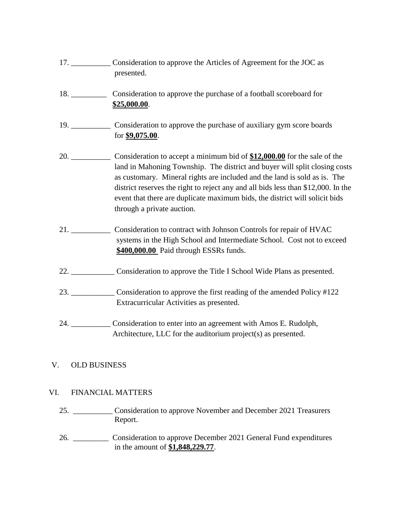- 17. \_\_\_\_\_\_\_\_\_\_ Consideration to approve the Articles of Agreement for the JOC as presented.
- 18. \_\_\_\_\_\_\_\_\_ Consideration to approve the purchase of a football scoreboard for **\$25,000.00**.
- 19. \_\_\_\_\_\_\_\_\_\_ Consideration to approve the purchase of auxiliary gym score boards for **\$9,075.00**.
- 20. \_\_\_\_\_\_\_\_\_\_ Consideration to accept a minimum bid of **\$12,000.00** for the sale of the land in Mahoning Township. The district and buyer will split closing costs as customary. Mineral rights are included and the land is sold as is. The district reserves the right to reject any and all bids less than \$12,000. In the event that there are duplicate maximum bids, the district will solicit bids through a private auction.
- 21. \_\_\_\_\_\_\_\_\_\_ Consideration to contract with Johnson Controls for repair of HVAC systems in the High School and Intermediate School. Cost not to exceed **\$400,000.00** Paid through ESSRs funds.
- 22. \_\_\_\_\_\_\_\_\_\_\_ Consideration to approve the Title I School Wide Plans as presented.
- 23. \_\_\_\_\_\_\_\_\_\_\_ Consideration to approve the first reading of the amended Policy #122 Extracurricular Activities as presented.
- 24. \_\_\_\_\_\_\_\_\_\_ Consideration to enter into an agreement with Amos E. Rudolph, Architecture, LLC for the auditorium project(s) as presented.

# V. OLD BUSINESS

# VI. FINANCIAL MATTERS

- 25. \_\_\_\_\_\_\_\_\_\_ Consideration to approve November and December 2021 Treasurers Report.
- 26. \_\_\_\_\_\_\_\_\_ Consideration to approve December 2021 General Fund expenditures in the amount of **\$1,848,229.77**.